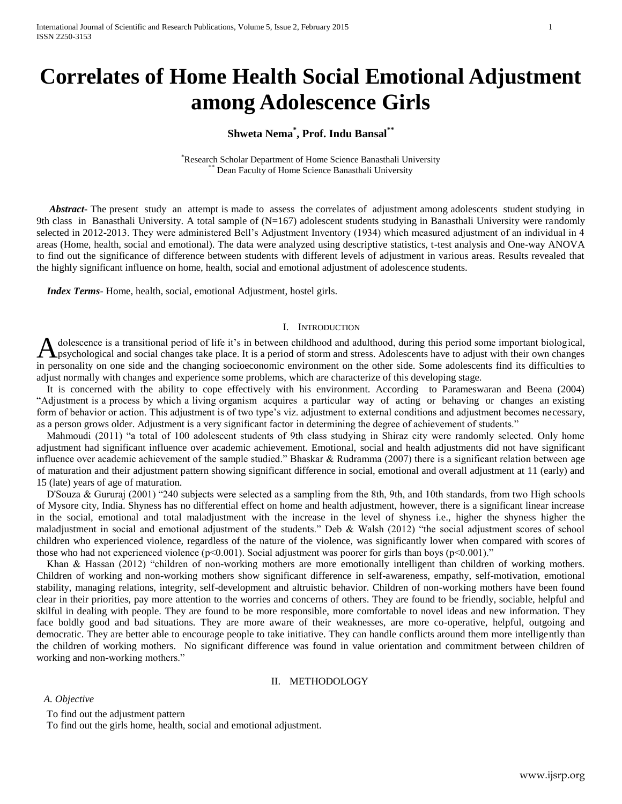# **Correlates of Home Health Social Emotional Adjustment among Adolescence Girls**

## **Shweta Nema\* , Prof. Indu Bansal\*\***

\*Research Scholar Department of Home Science Banasthali University Dean Faculty of Home Science Banasthali University

 *Abstract***-** The present study an attempt is made to assess the correlates of adjustment among adolescents student studying in 9th class in Banasthali University. A total sample of (N=167) adolescent students studying in Banasthali University were randomly selected in 2012-2013. They were administered Bell's Adjustment Inventory (1934) which measured adjustment of an individual in 4 areas (Home, health, social and emotional). The data were analyzed using descriptive statistics, t-test analysis and One-way ANOVA to find out the significance of difference between students with different levels of adjustment in various areas. Results revealed that the highly significant influence on home, health, social and emotional adjustment of adolescence students.

 *Index Terms*- Home, health, social, emotional Adjustment, hostel girls.

#### I. INTRODUCTION

dolescence is a transitional period of life it's in between childhood and adulthood, during this period some important biological, A dolescence is a transitional period of life it's in between childhood and adulthood, during this period some important biological, have to adjust with their own changes take place. It is a period of storm and stress. Ado in personality on one side and the changing socioeconomic environment on the other side. Some adolescents find its difficulties to adjust normally with changes and experience some problems, which are characterize of this developing stage.

 It is concerned with the ability to cope effectively with his environment. According to Parameswaran and Beena (2004) "Adjustment is a process by which a living organism acquires a particular way of acting or behaving or changes an existing form of behavior or action. This adjustment is of two type's viz. adjustment to external conditions and adjustment becomes necessary, as a person grows older. Adjustment is a very significant factor in determining the degree of achievement of students."

 Mahmoudi (2011) "a total of 100 adolescent students of 9th class studying in Shiraz city were randomly selected. Only home adjustment had significant influence over academic achievement. Emotional, social and health adjustments did not have significant influence over academic achievement of the sample studied." Bhaskar & Rudramma (2007) there is a significant relation between age of maturation and their adjustment pattern showing significant difference in social, emotional and overall adjustment at 11 (early) and 15 (late) years of age of maturation.

 D'Souza & Gururaj (2001) "240 subjects were selected as a sampling from the 8th, 9th, and 10th standards, from two High schools of Mysore city, India. Shyness has no differential effect on home and health adjustment, however, there is a significant linear increase in the social, emotional and total maladjustment with the increase in the level of shyness i.e., higher the shyness higher the maladjustment in social and emotional adjustment of the students." Deb & Walsh (2012) "the social adjustment scores of school children who experienced violence, regardless of the nature of the violence, was significantly lower when compared with scores of those who had not experienced violence ( $p<0.001$ ). Social adjustment was poorer for girls than boys ( $p<0.001$ )."

 Khan & Hassan (2012) "children of non-working mothers are more emotionally intelligent than children of working mothers. Children of working and non-working mothers show significant difference in self-awareness, empathy, self-motivation, emotional stability, managing relations, integrity, self-development and altruistic behavior. Children of non-working mothers have been found clear in their priorities, pay more attention to the worries and concerns of others. They are found to be friendly, sociable, helpful and skilful in dealing with people. They are found to be more responsible, more comfortable to novel ideas and new information. They face boldly good and bad situations. They are more aware of their weaknesses, are more co-operative, helpful, outgoing and democratic. They are better able to encourage people to take initiative. They can handle conflicts around them more intelligently than the children of working mothers. No significant difference was found in value orientation and commitment between children of working and non-working mothers."

## II. METHODOLOGY

#### *A. Objective*

To find out the adjustment pattern

To find out the girls home, health, social and emotional adjustment.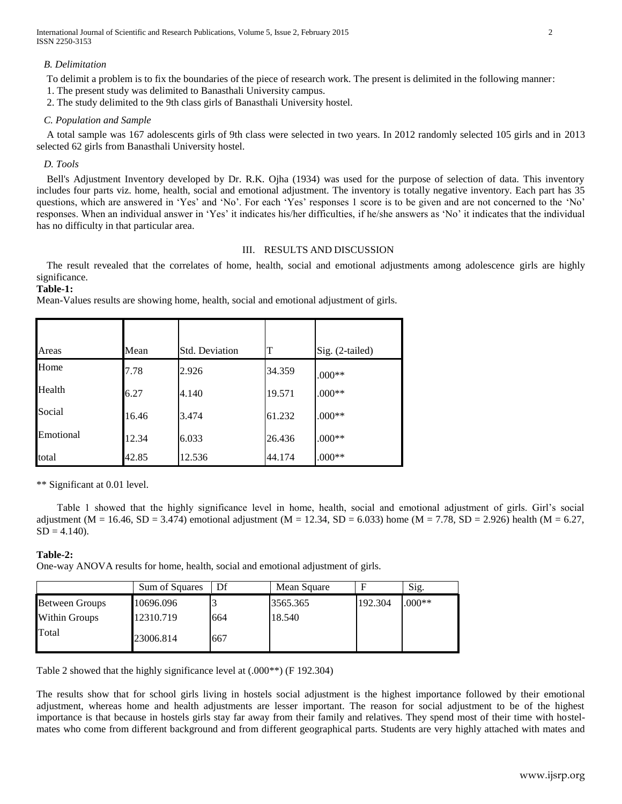International Journal of Scientific and Research Publications, Volume 5, Issue 2, February 2015 2 ISSN 2250-3153

#### *B. Delimitation*

To delimit a problem is to fix the boundaries of the piece of research work. The present is delimited in the following manner:

- 1. The present study was delimited to Banasthali University campus.
- 2. The study delimited to the 9th class girls of Banasthali University hostel.

## *C. Population and Sample*

 A total sample was 167 adolescents girls of 9th class were selected in two years. In 2012 randomly selected 105 girls and in 2013 selected 62 girls from Banasthali University hostel.

## *D. Tools*

 Bell's Adjustment Inventory developed by Dr. R.K. Ojha (1934) was used for the purpose of selection of data. This inventory includes four parts viz. home, health, social and emotional adjustment. The inventory is totally negative inventory. Each part has 35 questions, which are answered in 'Yes' and 'No'. For each 'Yes' responses 1 score is to be given and are not concerned to the 'No' responses. When an individual answer in 'Yes' it indicates his/her difficulties, if he/she answers as 'No' it indicates that the individual has no difficulty in that particular area.

#### III. RESULTS AND DISCUSSION

 The result revealed that the correlates of home, health, social and emotional adjustments among adolescence girls are highly significance.

**Table-1:**

Mean-Values results are showing home, health, social and emotional adjustment of girls.

| Areas     | Mean  | <b>Std. Deviation</b> | т      | $Sig. (2-tailed)$ |
|-----------|-------|-----------------------|--------|-------------------|
| Home      | 7.78  | 2.926                 | 34.359 | $.000**$          |
| Health    | 6.27  | 4.140                 | 19.571 | $.000**$          |
| Social    | 16.46 | 3.474                 | 61.232 | $.000**$          |
| Emotional | 12.34 | 6.033                 | 26.436 | $.000**$          |
| total     | 42.85 | 12.536                | 44.174 | $.000**$          |

\*\* Significant at 0.01 level.

 Table 1 showed that the highly significance level in home, health, social and emotional adjustment of girls. Girl's social adjustment (M = 16.46, SD = 3.474) emotional adjustment (M = 12.34, SD = 6.033) home (M = 7.78, SD = 2.926) health (M = 6.27,  $SD = 4.140$ .

## **Table-2:**

One-way ANOVA results for home, health, social and emotional adjustment of girls.

|                       | Sum of Squares | Df  | Mean Square |         | Sig.     |
|-----------------------|----------------|-----|-------------|---------|----------|
| <b>Between Groups</b> | 10696.096      |     | 3565.365    | 192.304 | $.000**$ |
| <b>Within Groups</b>  | 12310.719      | 664 | 18.540      |         |          |
| Total                 | 23006.814      | 667 |             |         |          |

Table 2 showed that the highly significance level at (.000\*\*) (F 192.304)

The results show that for school girls living in hostels social adjustment is the highest importance followed by their emotional adjustment, whereas home and health adjustments are lesser important. The reason for social adjustment to be of the highest importance is that because in hostels girls stay far away from their family and relatives. They spend most of their time with hostelmates who come from different background and from different geographical parts. Students are very highly attached with mates and